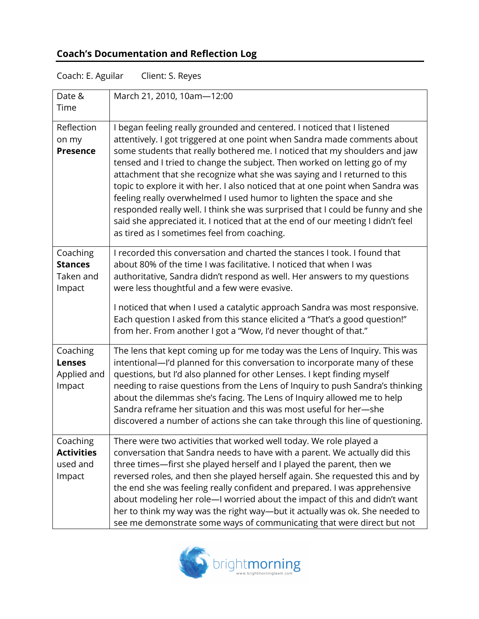## **Coach's Documentation and Reflection Log**

| Coach: E. Aguilar<br>Client: S. Reyes               |                                                                                                                                                                                                                                                                                                                                                                                                                                                                                                                                                                                                                                                                                                                                                                           |  |
|-----------------------------------------------------|---------------------------------------------------------------------------------------------------------------------------------------------------------------------------------------------------------------------------------------------------------------------------------------------------------------------------------------------------------------------------------------------------------------------------------------------------------------------------------------------------------------------------------------------------------------------------------------------------------------------------------------------------------------------------------------------------------------------------------------------------------------------------|--|
| Date &<br>Time                                      | March 21, 2010, 10am-12:00                                                                                                                                                                                                                                                                                                                                                                                                                                                                                                                                                                                                                                                                                                                                                |  |
| Reflection<br>on my<br><b>Presence</b>              | I began feeling really grounded and centered. I noticed that I listened<br>attentively. I got triggered at one point when Sandra made comments about<br>some students that really bothered me. I noticed that my shoulders and jaw<br>tensed and I tried to change the subject. Then worked on letting go of my<br>attachment that she recognize what she was saying and I returned to this<br>topic to explore it with her. I also noticed that at one point when Sandra was<br>feeling really overwhelmed I used humor to lighten the space and she<br>responded really well. I think she was surprised that I could be funny and she<br>said she appreciated it. I noticed that at the end of our meeting I didn't feel<br>as tired as I sometimes feel from coaching. |  |
| Coaching<br><b>Stances</b><br>Taken and<br>Impact   | I recorded this conversation and charted the stances I took. I found that<br>about 80% of the time I was facilitative. I noticed that when I was<br>authoritative, Sandra didn't respond as well. Her answers to my questions<br>were less thoughtful and a few were evasive.<br>I noticed that when I used a catalytic approach Sandra was most responsive.<br>Each question I asked from this stance elicited a "That's a good question!"<br>from her. From another I got a "Wow, I'd never thought of that."                                                                                                                                                                                                                                                           |  |
| Coaching<br><b>Lenses</b><br>Applied and<br>Impact  | The lens that kept coming up for me today was the Lens of Inquiry. This was<br>intentional-'d planned for this conversation to incorporate many of these<br>questions, but I'd also planned for other Lenses. I kept finding myself<br>needing to raise questions from the Lens of Inquiry to push Sandra's thinking<br>about the dilemmas she's facing. The Lens of Inquiry allowed me to help<br>Sandra reframe her situation and this was most useful for her-she<br>discovered a number of actions she can take through this line of questioning.                                                                                                                                                                                                                     |  |
| Coaching<br><b>Activities</b><br>used and<br>Impact | There were two activities that worked well today. We role played a<br>conversation that Sandra needs to have with a parent. We actually did this<br>three times—first she played herself and I played the parent, then we<br>reversed roles, and then she played herself again. She requested this and by<br>the end she was feeling really confident and prepared. I was apprehensive<br>about modeling her role-I worried about the impact of this and didn't want<br>her to think my way was the right way-but it actually was ok. She needed to<br>see me demonstrate some ways of communicating that were direct but not                                                                                                                                             |  |